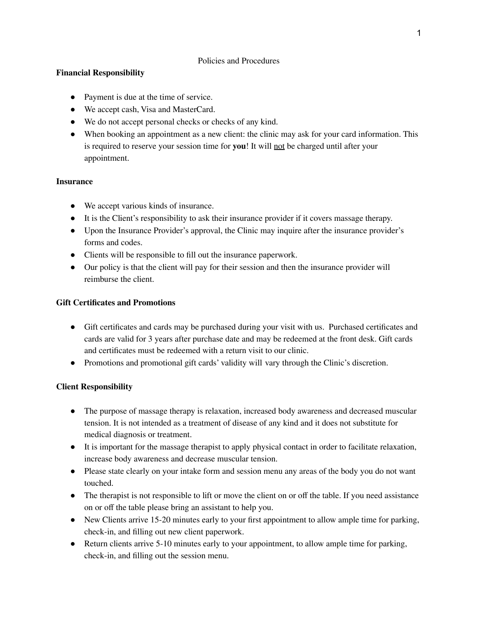### Policies and Procedures

### **Financial Responsibility**

- Payment is due at the time of service.
- We accept cash, Visa and MasterCard.
- We do not accept personal checks or checks of any kind.
- When booking an appointment as a new client: the clinic may ask for your card information. This is required to reserve your session time for **you**! It will not be charged until after your appointment.

### **Insurance**

- We accept various kinds of insurance.
- It is the Client's responsibility to ask their insurance provider if it covers massage therapy.
- Upon the Insurance Provider's approval, the Clinic may inquire after the insurance provider's forms and codes.
- Clients will be responsible to fill out the insurance paperwork.
- Our policy is that the client will pay for their session and then the insurance provider will reimburse the client.

# **Gift Certificates and Promotions**

- Gift certificates and cards may be purchased during your visit with us. Purchased certificates and cards are valid for 3 years after purchase date and may be redeemed at the front desk. Gift cards and certificates must be redeemed with a return visit to our clinic.
- Promotions and promotional gift cards' validity will vary through the Clinic's discretion.

# **Client Responsibility**

- The purpose of massage therapy is relaxation, increased body awareness and decreased muscular tension. It is not intended as a treatment of disease of any kind and it does not substitute for medical diagnosis or treatment.
- It is important for the massage therapist to apply physical contact in order to facilitate relaxation, increase body awareness and decrease muscular tension.
- Please state clearly on your intake form and session menu any areas of the body you do not want touched.
- The therapist is not responsible to lift or move the client on or off the table. If you need assistance on or off the table please bring an assistant to help you.
- New Clients arrive 15-20 minutes early to your first appointment to allow ample time for parking, check-in, and filling out new client paperwork.
- Return clients arrive 5-10 minutes early to your appointment, to allow ample time for parking, check-in, and filling out the session menu.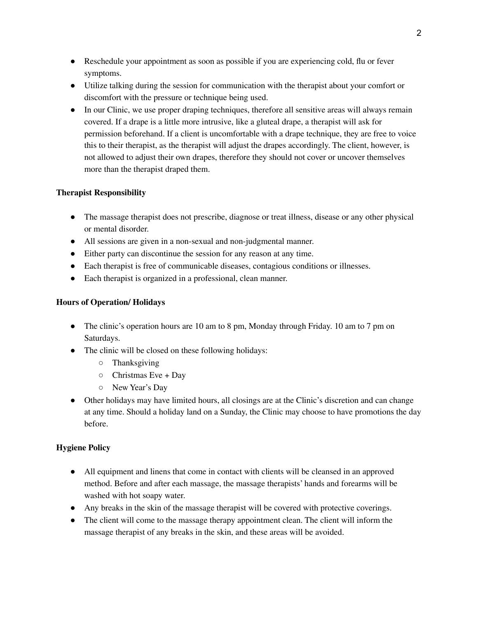- Reschedule your appointment as soon as possible if you are experiencing cold, flu or fever symptoms.
- Utilize talking during the session for communication with the therapist about your comfort or discomfort with the pressure or technique being used.
- In our Clinic, we use proper draping techniques, therefore all sensitive areas will always remain covered. If a drape is a little more intrusive, like a gluteal drape, a therapist will ask for permission beforehand. If a client is uncomfortable with a drape technique, they are free to voice this to their therapist, as the therapist will adjust the drapes accordingly. The client, however, is not allowed to adjust their own drapes, therefore they should not cover or uncover themselves more than the therapist draped them.

# **Therapist Responsibility**

- The massage therapist does not prescribe, diagnose or treat illness, disease or any other physical or mental disorder.
- All sessions are given in a non-sexual and non-judgmental manner.
- Either party can discontinue the session for any reason at any time.
- Each therapist is free of communicable diseases, contagious conditions or illnesses.
- Each therapist is organized in a professional, clean manner.

# **Hours of Operation/ Holidays**

- The clinic's operation hours are 10 am to 8 pm, Monday through Friday. 10 am to 7 pm on Saturdays.
- The clinic will be closed on these following holidays:
	- Thanksgiving
	- $\circ$  Christmas Eve + Day
	- New Year's Day
- Other holidays may have limited hours, all closings are at the Clinic's discretion and can change at any time. Should a holiday land on a Sunday, the Clinic may choose to have promotions the day before.

# **Hygiene Policy**

- All equipment and linens that come in contact with clients will be cleansed in an approved method. Before and after each massage, the massage therapists' hands and forearms will be washed with hot soapy water.
- Any breaks in the skin of the massage therapist will be covered with protective coverings.
- The client will come to the massage therapy appointment clean. The client will inform the massage therapist of any breaks in the skin, and these areas will be avoided.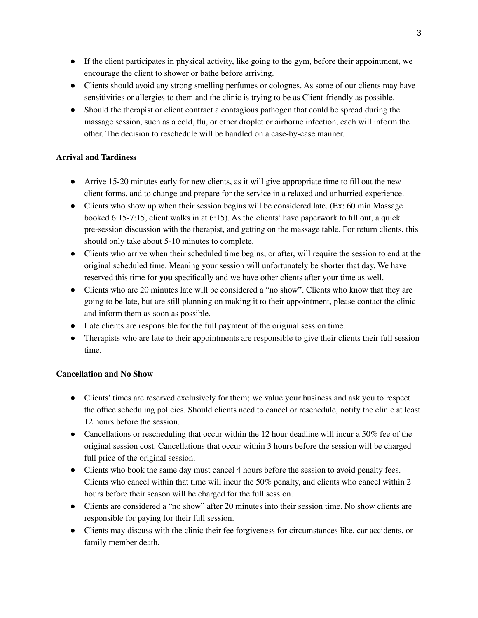- If the client participates in physical activity, like going to the gym, before their appointment, we encourage the client to shower or bathe before arriving.
- Clients should avoid any strong smelling perfumes or colognes. As some of our clients may have sensitivities or allergies to them and the clinic is trying to be as Client-friendly as possible.
- Should the therapist or client contract a contagious pathogen that could be spread during the massage session, such as a cold, flu, or other droplet or airborne infection, each will inform the other. The decision to reschedule will be handled on a case-by-case manner.

# **Arrival and Tardiness**

- Arrive 15-20 minutes early for new clients, as it will give appropriate time to fill out the new client forms, and to change and prepare for the service in a relaxed and unhurried experience.
- Clients who show up when their session begins will be considered late. (Ex: 60 min Massage) booked 6:15-7:15, client walks in at 6:15). As the clients' have paperwork to fill out, a quick pre-session discussion with the therapist, and getting on the massage table. For return clients, this should only take about 5-10 minutes to complete.
- Clients who arrive when their scheduled time begins, or after, will require the session to end at the original scheduled time. Meaning your session will unfortunately be shorter that day. We have reserved this time for **you** specifically and we have other clients after your time as well.
- Clients who are 20 minutes late will be considered a "no show". Clients who know that they are going to be late, but are still planning on making it to their appointment, please contact the clinic and inform them as soon as possible.
- Late clients are responsible for the full payment of the original session time.
- Therapists who are late to their appointments are responsible to give their clients their full session time.

# **Cancellation and No Show**

- Clients' times are reserved exclusively for them; we value your business and ask you to respect the office scheduling policies. Should clients need to cancel or reschedule, notify the clinic at least 12 hours before the session.
- Cancellations or rescheduling that occur within the 12 hour deadline will incur a 50% fee of the original session cost. Cancellations that occur within 3 hours before the session will be charged full price of the original session.
- Clients who book the same day must cancel 4 hours before the session to avoid penalty fees. Clients who cancel within that time will incur the 50% penalty, and clients who cancel within 2 hours before their season will be charged for the full session.
- Clients are considered a "no show" after 20 minutes into their session time. No show clients are responsible for paying for their full session.
- Clients may discuss with the clinic their fee forgiveness for circumstances like, car accidents, or family member death.